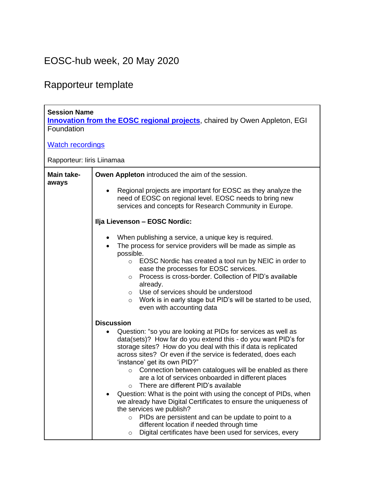## EOSC-hub week, 20 May 2020

## Rapporteur template

| <b>Session Name</b><br><b>Innovation from the EOSC regional projects</b> , chaired by Owen Appleton, EGI<br>Foundation |                                                                                                                                                                                                                                                                                                                                                                                                                                                                                                                                                                                                                                                                                                                                                                                                                                                                                                                                                                                                               |  |
|------------------------------------------------------------------------------------------------------------------------|---------------------------------------------------------------------------------------------------------------------------------------------------------------------------------------------------------------------------------------------------------------------------------------------------------------------------------------------------------------------------------------------------------------------------------------------------------------------------------------------------------------------------------------------------------------------------------------------------------------------------------------------------------------------------------------------------------------------------------------------------------------------------------------------------------------------------------------------------------------------------------------------------------------------------------------------------------------------------------------------------------------|--|
| <b>Watch recordings</b>                                                                                                |                                                                                                                                                                                                                                                                                                                                                                                                                                                                                                                                                                                                                                                                                                                                                                                                                                                                                                                                                                                                               |  |
| Rapporteur: liris Liinamaa                                                                                             |                                                                                                                                                                                                                                                                                                                                                                                                                                                                                                                                                                                                                                                                                                                                                                                                                                                                                                                                                                                                               |  |
| Main take-<br>aways                                                                                                    | Owen Appleton introduced the aim of the session.<br>Regional projects are important for EOSC as they analyze the<br>need of EOSC on regional level. EOSC needs to bring new<br>services and concepts for Research Community in Europe.<br>Ilja Lievenson - EOSC Nordic:<br>When publishing a service, a unique key is required.<br>$\bullet$<br>The process for service providers will be made as simple as<br>possible.<br>EOSC Nordic has created a tool run by NEIC in order to<br>$\circ$<br>ease the processes for EOSC services.<br>Process is cross-border. Collection of PID's available<br>$\circ$<br>already.                                                                                                                                                                                                                                                                                                                                                                                       |  |
|                                                                                                                        | Use of services should be understood<br>$\circ$<br>Work is in early stage but PID's will be started to be used,<br>$\circ$<br>even with accounting data<br><b>Discussion</b><br>Question: "so you are looking at PIDs for services as well as<br>data(sets)? How far do you extend this - do you want PID's for<br>storage sites? How do you deal with this if data is replicated<br>across sites? Or even if the service is federated, does each<br>'instance' get its own PID?"<br>Connection between catalogues will be enabled as there<br>$\circ$<br>are a lot of services onboarded in different places<br>There are different PID's available<br>Question: What is the point with using the concept of PIDs, when<br>we already have Digital Certificates to ensure the uniqueness of<br>the services we publish?<br>PIDs are persistent and can be update to point to a<br>$\circ$<br>different location if needed through time<br>Digital certificates have been used for services, every<br>$\circ$ |  |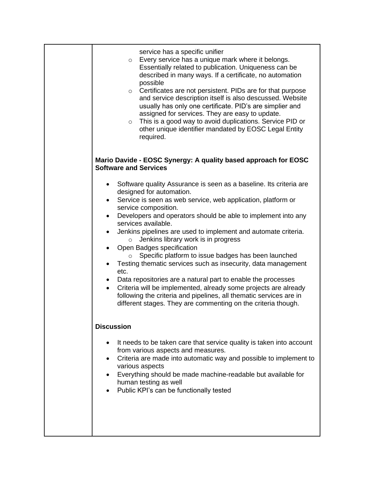| service has a specific unifier<br>Every service has a unique mark where it belongs.<br>$\circ$<br>Essentially related to publication. Uniqueness can be<br>described in many ways. If a certificate, no automation<br>possible<br>o Certificates are not persistent. PIDs are for that purpose<br>and service description itself is also descussed. Website<br>usually has only one certificate. PID's are simplier and<br>assigned for services. They are easy to update.<br>This is a good way to avoid duplications. Service PID or<br>$\circ$<br>other unique identifier mandated by EOSC Legal Entity<br>required.                                                                                                                                                                                                                                                                                                    |
|----------------------------------------------------------------------------------------------------------------------------------------------------------------------------------------------------------------------------------------------------------------------------------------------------------------------------------------------------------------------------------------------------------------------------------------------------------------------------------------------------------------------------------------------------------------------------------------------------------------------------------------------------------------------------------------------------------------------------------------------------------------------------------------------------------------------------------------------------------------------------------------------------------------------------|
| Mario Davide - EOSC Synergy: A quality based approach for EOSC<br><b>Software and Services</b>                                                                                                                                                                                                                                                                                                                                                                                                                                                                                                                                                                                                                                                                                                                                                                                                                             |
| Software quality Assurance is seen as a baseline. Its criteria are<br>$\bullet$<br>designed for automation.<br>Service is seen as web service, web application, platform or<br>$\bullet$<br>service composition.<br>Developers and operators should be able to implement into any<br>$\bullet$<br>services available.<br>Jenkins pipelines are used to implement and automate criteria.<br>$\bullet$<br>Jenkins library work is in progress<br>$\circ$<br>Open Badges specification<br>$\bullet$<br>Specific platform to issue badges has been launched<br>$\circ$<br>Testing thematic services such as insecurity, data management<br>etc.<br>Data repositories are a natural part to enable the processes<br>٠<br>Criteria will be implemented, already some projects are already<br>following the criteria and pipelines, all thematic services are in<br>different stages. They are commenting on the criteria though. |
| <b>Discussion</b>                                                                                                                                                                                                                                                                                                                                                                                                                                                                                                                                                                                                                                                                                                                                                                                                                                                                                                          |
| It needs to be taken care that service quality is taken into account<br>from various aspects and measures.<br>Criteria are made into automatic way and possible to implement to<br>$\bullet$<br>various aspects<br>Everything should be made machine-readable but available for<br>$\bullet$<br>human testing as well<br>Public KPI's can be functionally tested                                                                                                                                                                                                                                                                                                                                                                                                                                                                                                                                                           |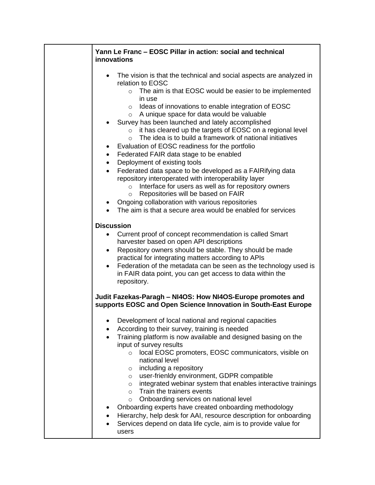## **Yann Le Franc – EOSC Pillar in action: social and technical innovations** • The vision is that the technical and social aspects are analyzed in relation to EOSC o The aim is that EOSC would be easier to be implemented in use o Ideas of innovations to enable integration of EOSC o A unique space for data would be valuable • Survey has been launched and lately accomplished o it has cleared up the targets of EOSC on a regional level  $\circ$  The idea is to build a framework of national initiatives • Evaluation of EOSC readiness for the portfolio • Federated FAIR data stage to be enabled • Deployment of existing tools • Federated data space to be developed as a FAIRifying data repository interoperated with interoperability layer o Interface for users as well as for repository owners o Repositories will be based on FAIR • Ongoing collaboration with various repositories The aim is that a secure area would be enabled for services **Discussion** • Current proof of concept recommendation is called Smart harvester based on open API descriptions • Repository owners should be stable. They should be made practical for integrating matters according to APIs • Federation of the metadata can be seen as the technology used is in FAIR data point, you can get access to data within the repository. **Judit Fazekas-Paragh – NI4OS: How NI4OS-Europe promotes and supports EOSC and Open Science Innovation in South-East Europe** • Development of local national and regional capacities • According to their survey, training is needed • Training platform is now available and designed basing on the input of survey results o local EOSC promoters, EOSC communicators, visible on national level o including a repository o user-frienldy environment, GDPR compatible  $\circ$  integrated webinar system that enables interactive trainings o Train the trainers events o Onboarding services on national level • Onboarding experts have created onboarding methodology • Hierarchy, help desk for AAI, resource description for onboarding Services depend on data life cycle, aim is to provide value for users